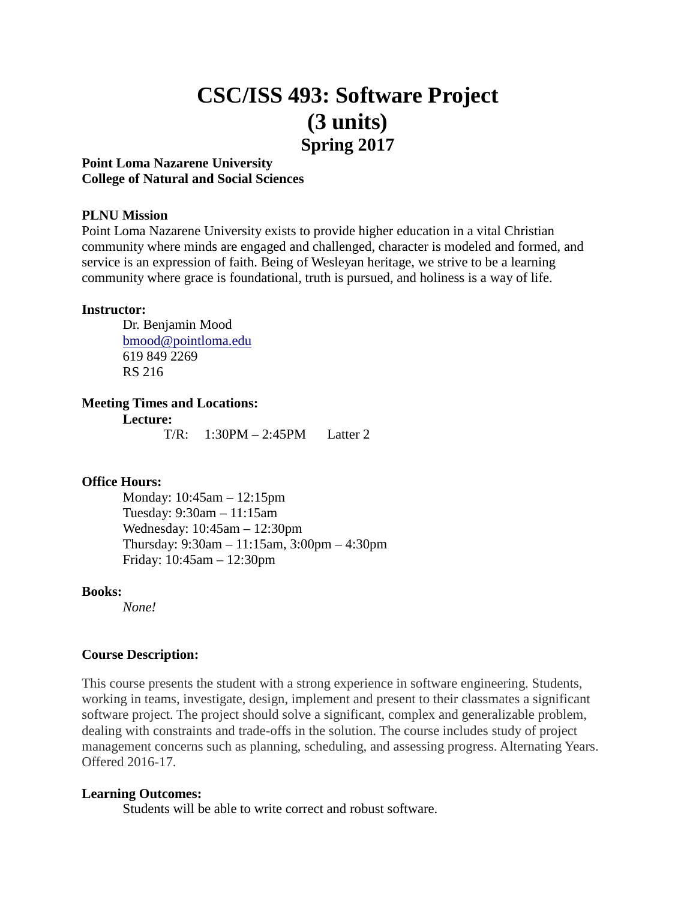# **CSC/ISS 493: Software Project (3 units) Spring 2017**

# **Point Loma Nazarene University College of Natural and Social Sciences**

#### **PLNU Mission**

Point Loma Nazarene University exists to provide higher education in a vital Christian community where minds are engaged and challenged, character is modeled and formed, and service is an expression of faith. Being of Wesleyan heritage, we strive to be a learning community where grace is foundational, truth is pursued, and holiness is a way of life.

#### **Instructor:**

Dr. Benjamin Mood [bmood@pointloma.edu](mailto:bmood@pointloma.edu) 619 849 2269 RS 216

#### **Meeting Times and Locations:**

**Lecture:**

T/R: 1:30PM – 2:45PM Latter 2

#### **Office Hours:**

Monday: 10:45am – 12:15pm Tuesday: 9:30am – 11:15am Wednesday: 10:45am – 12:30pm Thursday: 9:30am – 11:15am, 3:00pm – 4:30pm Friday: 10:45am – 12:30pm

#### **Books:**

*None!*

#### **Course Description:**

This course presents the student with a strong experience in software engineering. Students, working in teams, investigate, design, implement and present to their classmates a significant software project. The project should solve a significant, complex and generalizable problem, dealing with constraints and trade-offs in the solution. The course includes study of project management concerns such as planning, scheduling, and assessing progress. Alternating Years. Offered 2016-17.

#### **Learning Outcomes:**

Students will be able to write correct and robust software.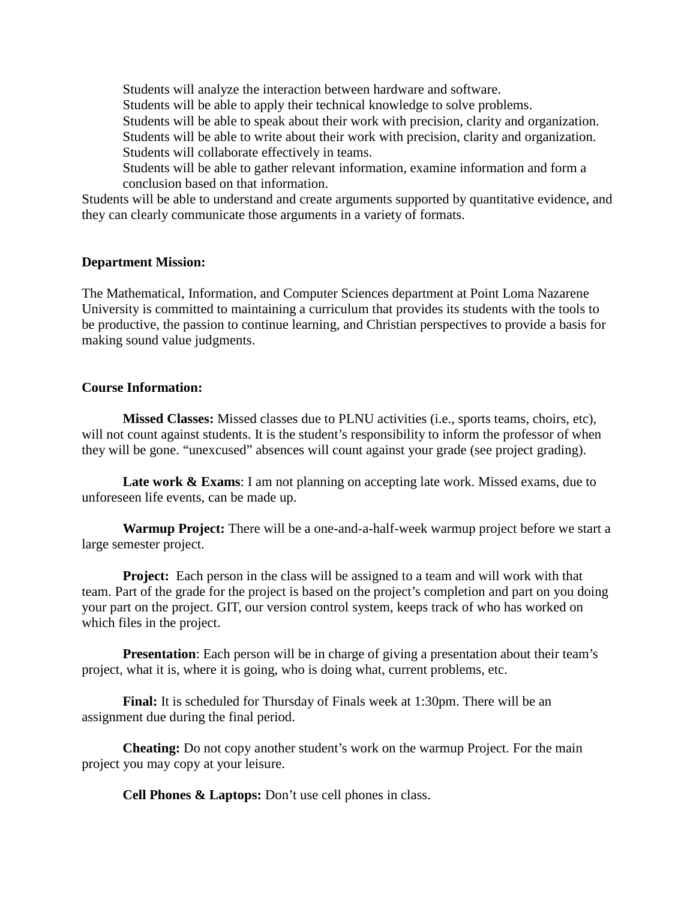Students will analyze the interaction between hardware and software. Students will be able to apply their technical knowledge to solve problems. Students will be able to speak about their work with precision, clarity and organization. Students will be able to write about their work with precision, clarity and organization. Students will collaborate effectively in teams. Students will be able to gather relevant information, examine information and form a

conclusion based on that information.

Students will be able to understand and create arguments supported by quantitative evidence, and they can clearly communicate those arguments in a variety of formats.

# **Department Mission:**

The Mathematical, Information, and Computer Sciences department at Point Loma Nazarene University is committed to maintaining a curriculum that provides its students with the tools to be productive, the passion to continue learning, and Christian perspectives to provide a basis for making sound value judgments.

#### **Course Information:**

**Missed Classes:** Missed classes due to PLNU activities (i.e., sports teams, choirs, etc), will not count against students. It is the student's responsibility to inform the professor of when they will be gone. "unexcused" absences will count against your grade (see project grading).

**Late work & Exams**: I am not planning on accepting late work. Missed exams, due to unforeseen life events, can be made up.

**Warmup Project:** There will be a one-and-a-half-week warmup project before we start a large semester project.

**Project:** Each person in the class will be assigned to a team and will work with that team. Part of the grade for the project is based on the project's completion and part on you doing your part on the project. GIT, our version control system, keeps track of who has worked on which files in the project.

**Presentation**: Each person will be in charge of giving a presentation about their team's project, what it is, where it is going, who is doing what, current problems, etc.

**Final:** It is scheduled for Thursday of Finals week at 1:30pm. There will be an assignment due during the final period.

**Cheating:** Do not copy another student's work on the warmup Project. For the main project you may copy at your leisure.

**Cell Phones & Laptops:** Don't use cell phones in class.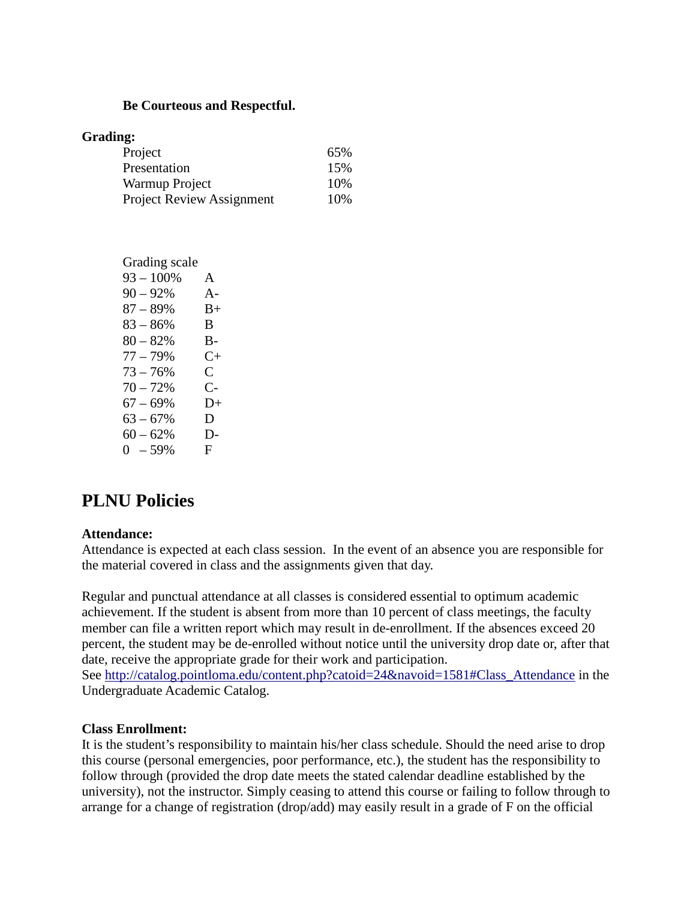#### **Be Courteous and Respectful.**

| Grading:                         |     |
|----------------------------------|-----|
| Project                          | 65% |
| Presentation                     | 15% |
| Warmup Project                   | 10% |
| <b>Project Review Assignment</b> | 10% |

| Grading scale |       |
|---------------|-------|
| $93 - 100\%$  | A     |
| $90 - 92%$    | $A -$ |
| $87 - 89%$    | $B+$  |
| $83 - 86%$    | B.    |
| $80 - 82%$    | B-    |
| $77 - 79%$    | C+    |
| $73 - 76%$    | C     |
| $70 - 72%$    | C-    |
| $67 - 69%$    | $D+$  |
| $63 - 67%$    | D     |
| $60 - 62%$    | D-    |
| $0 - 59\%$    | F     |

# **PLNU Policies**

# **Attendance:**

Attendance is expected at each class session. In the event of an absence you are responsible for the material covered in class and the assignments given that day.

Regular and punctual attendance at all classes is considered essential to optimum academic achievement. If the student is absent from more than 10 percent of class meetings, the faculty member can file a written report which may result in de-enrollment. If the absences exceed 20 percent, the student may be de-enrolled without notice until the university drop date or, after that date, receive the appropriate grade for their work and participation. See [http://catalog.pointloma.edu/content.php?catoid=24&navoid=1581#Class\\_Attendance](http://catalog.pointloma.edu/content.php?catoid=24&navoid=1581#Class_Attendance) in the

Undergraduate Academic Catalog.

#### **Class Enrollment:**

It is the student's responsibility to maintain his/her class schedule. Should the need arise to drop this course (personal emergencies, poor performance, etc.), the student has the responsibility to follow through (provided the drop date meets the stated calendar deadline established by the university), not the instructor. Simply ceasing to attend this course or failing to follow through to arrange for a change of registration (drop/add) may easily result in a grade of F on the official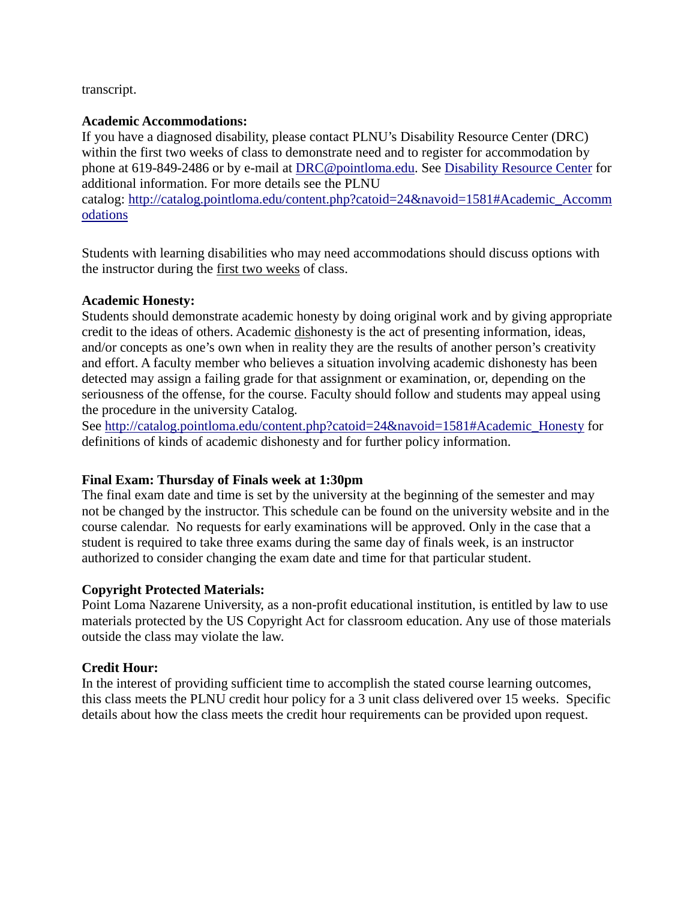# transcript.

# **Academic Accommodations:**

If you have a diagnosed disability, please contact PLNU's Disability Resource Center (DRC) within the first two weeks of class to demonstrate need and to register for accommodation by phone at 619-849-2486 or by e-mail at [DRC@pointloma.edu.](mailto:DRC@pointloma.edu) See [Disability Resource Center](http://www.pointloma.edu/experience/offices/administrative-offices/academic-advising-office/disability-resource-center) for additional information. For more details see the PLNU

catalog: [http://catalog.pointloma.edu/content.php?catoid=24&navoid=1581#Academic\\_Accomm](http://catalog.pointloma.edu/content.php?catoid=24&navoid=1581#Academic_Accommodations) [odations](http://catalog.pointloma.edu/content.php?catoid=24&navoid=1581#Academic_Accommodations) 

Students with learning disabilities who may need accommodations should discuss options with the instructor during the first two weeks of class.

# **Academic Honesty:**

Students should demonstrate academic honesty by doing original work and by giving appropriate credit to the ideas of others. Academic dishonesty is the act of presenting information, ideas, and/or concepts as one's own when in reality they are the results of another person's creativity and effort. A faculty member who believes a situation involving academic dishonesty has been detected may assign a failing grade for that assignment or examination, or, depending on the seriousness of the offense, for the course. Faculty should follow and students may appeal using the procedure in the university Catalog.

See [http://catalog.pointloma.edu/content.php?catoid=24&navoid=1581#Academic\\_Honesty](http://catalog.pointloma.edu/content.php?catoid=24&navoid=1581#Academic_Honesty) for definitions of kinds of academic dishonesty and for further policy information.

# **Final Exam: Thursday of Finals week at 1:30pm**

The final exam date and time is set by the university at the beginning of the semester and may not be changed by the instructor. This schedule can be found on the university website and in the course calendar. No requests for early examinations will be approved. Only in the case that a student is required to take three exams during the same day of finals week, is an instructor authorized to consider changing the exam date and time for that particular student.

# **Copyright Protected Materials:**

Point Loma Nazarene University, as a non-profit educational institution, is entitled by law to use materials protected by the US Copyright Act for classroom education. Any use of those materials outside the class may violate the law.

# **Credit Hour:**

In the interest of providing sufficient time to accomplish the stated course learning outcomes, this class meets the PLNU credit hour policy for a 3 unit class delivered over 15 weeks. Specific details about how the class meets the credit hour requirements can be provided upon request.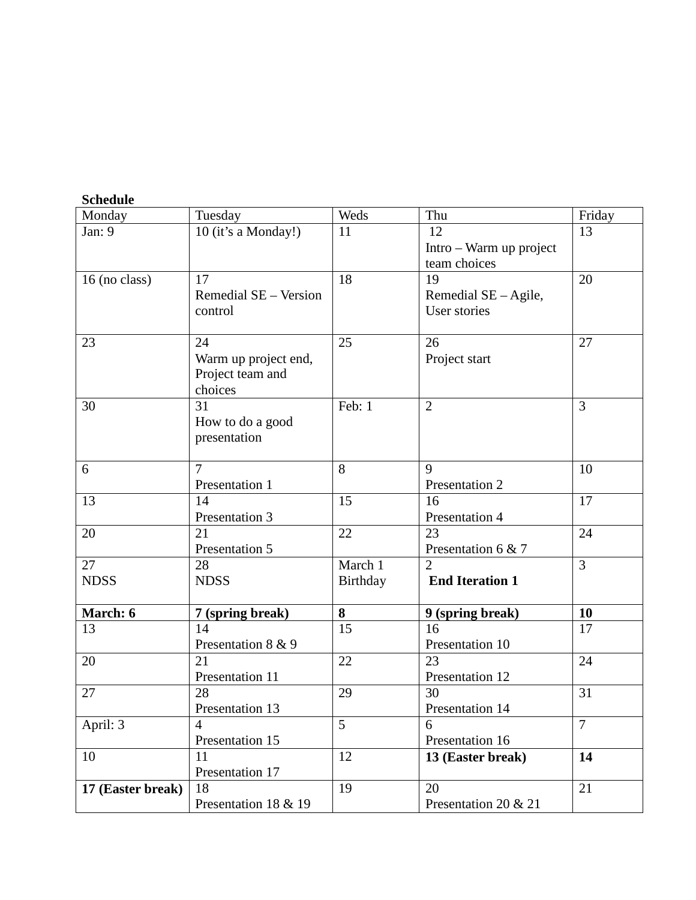| <b>Schedule</b>   |                       |          |                         |                |
|-------------------|-----------------------|----------|-------------------------|----------------|
| Monday            | Tuesday               | Weds     | Thu                     | Friday         |
| Jan: 9            | 10 (it's a Monday!)   | 11       | 12                      | 13             |
|                   |                       |          | Intro – Warm up project |                |
|                   |                       |          | team choices            |                |
| 16 (no class)     | 17                    | 18       | 19                      | 20             |
|                   | Remedial SE - Version |          | Remedial $SE - Agile$ , |                |
|                   | control               |          | User stories            |                |
|                   |                       |          |                         |                |
| 23                | 24                    | 25       | 26                      | 27             |
|                   | Warm up project end,  |          | Project start           |                |
|                   | Project team and      |          |                         |                |
|                   | choices               |          |                         |                |
| 30                | 31                    | Feb: 1   | $\overline{2}$          | 3              |
|                   | How to do a good      |          |                         |                |
|                   | presentation          |          |                         |                |
|                   |                       |          |                         |                |
| 6                 | $\overline{7}$        | 8        | 9                       | 10             |
|                   | Presentation 1        |          | Presentation 2          |                |
| 13                | 14                    | 15       | 16                      | 17             |
|                   | Presentation 3        |          | Presentation 4          |                |
| 20                | 21                    | 22       | 23                      | 24             |
|                   | Presentation 5        |          | Presentation 6 & 7      |                |
| 27                | 28                    | March 1  | $\overline{2}$          | $\overline{3}$ |
| <b>NDSS</b>       | <b>NDSS</b>           | Birthday | <b>End Iteration 1</b>  |                |
|                   |                       |          |                         |                |
| March: 6          | 7 (spring break)      | 8        | 9 (spring break)        | 10             |
| 13                | 14                    | 15       | 16                      | 17             |
|                   | Presentation 8 & 9    |          | Presentation 10         |                |
| 20                | 21                    | 22       | 23                      | 24             |
|                   | Presentation 11       |          | Presentation 12         |                |
| 27                | 28                    | 29       | 30                      | 31             |
|                   | Presentation 13       |          | Presentation 14         |                |
| April: 3          | 4                     | 5        | 6                       | $\overline{7}$ |
|                   | Presentation 15       |          | Presentation 16         |                |
| 10                | 11                    | 12       | 13 (Easter break)       | 14             |
|                   | Presentation 17       |          |                         |                |
| 17 (Easter break) | 18                    | 19       | 20                      | 21             |
|                   | Presentation 18 & 19  |          | Presentation 20 & 21    |                |